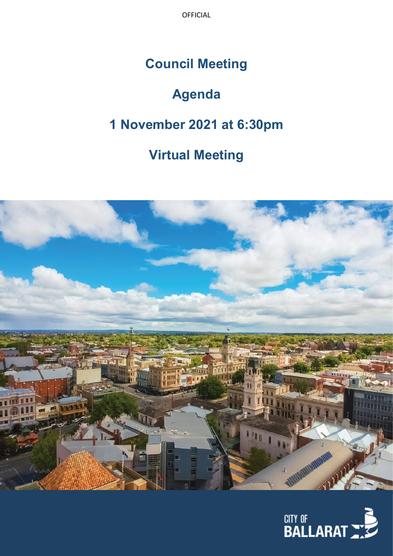OFFICIAL

# **Council Meeting**

# **Agenda**

# **1 November 2021 at 6:30pm**

# **Virtual Meeting**



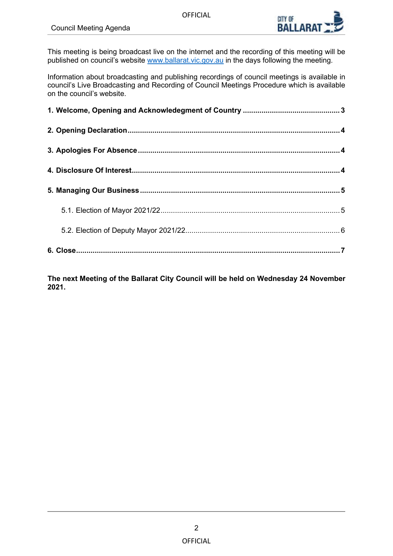OFFICIAL



This meeting is being broadcast live on the internet and the recording of this meeting will be published on council's website www.ballarat.vic.gov.au in the days following the meeting.

Information about broadcasting and publishing recordings of council meetings is available in council's Live Broadcasting and Recording of Council Meetings Procedure which is available on the council's website.

**The next Meeting of the Ballarat City Council will be held on Wednesday 24 November 2021.**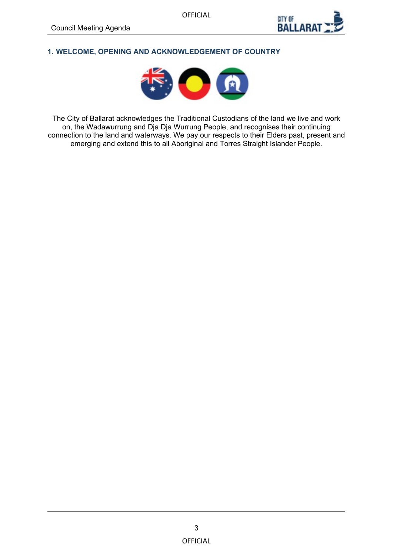

# <span id="page-2-0"></span>**1. WELCOME, OPENING AND ACKNOWLEDGEMENT OF COUNTRY**



The City of Ballarat acknowledges the Traditional Custodians of the land we live and work on, the Wadawurrung and Dja Dja Wurrung People, and recognises their continuing connection to the land and waterways. We pay our respects to their Elders past, present and emerging and extend this to all Aboriginal and Torres Straight Islander People.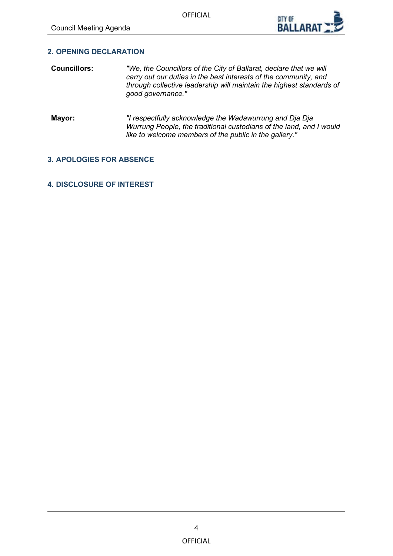

# <span id="page-3-0"></span>**2. OPENING DECLARATION**

- **Councillors:** *"We, the Councillors of the City of Ballarat, declare that we will carry out our duties in the best interests of the community, and through collective leadership will maintain the highest standards of good governance."*
- **Mayor:** *"I respectfully acknowledge the Wadawurrung and Dja Dja Wurrung People, the traditional custodians of the land, and I would like to welcome members of the public in the gallery."*

# **3. APOLOGIES FOR ABSENCE**

# **4. DISCLOSURE OF INTEREST**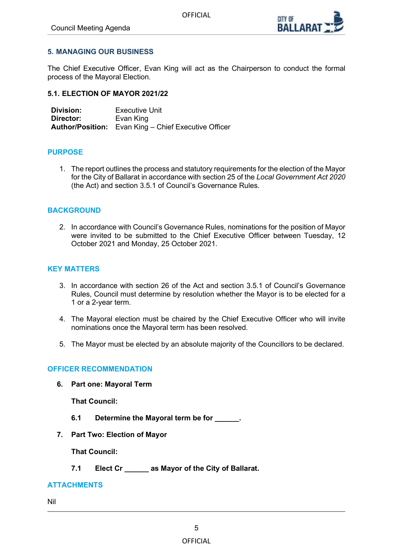

## <span id="page-4-0"></span>**5. MANAGING OUR BUSINESS**

The Chief Executive Officer, Evan King will act as the Chairperson to conduct the formal process of the Mayoral Election.

#### **5.1. ELECTION OF MAYOR 2021/22**

**Division: Executive Unit Director:** Evan King **Author/Position:** Evan King – Chief Executive Officer

#### **PURPOSE**

1. The report outlines the process and statutory requirements for the election of the Mayor for the City of Ballarat in accordance with section 25 of the *Local Government Act 2020* (the Act) and section 3.5.1 of Council's Governance Rules.

#### **BACKGROUND**

2. In accordance with Council's Governance Rules, nominations for the position of Mayor were invited to be submitted to the Chief Executive Officer between Tuesday, 12 October 2021 and Monday, 25 October 2021.

#### **KEY MATTERS**

- 3. In accordance with section 26 of the Act and section 3.5.1 of Council's Governance Rules, Council must determine by resolution whether the Mayor is to be elected for a 1 or a 2-year term.
- 4. The Mayoral election must be chaired by the Chief Executive Officer who will invite nominations once the Mayoral term has been resolved.
- 5. The Mayor must be elected by an absolute majority of the Councillors to be declared.

## **OFFICER RECOMMENDATION**

**6. Part one: Mayoral Term**

**That Council:**

- **6.1 Determine the Mayoral term be for \_\_\_\_\_\_.**
- **7. Part Two: Election of Mayor**

**That Council:** 

**7.1 Elect Cr \_\_\_\_\_\_ as Mayor of the City of Ballarat.**

#### **ATTACHMENTS**

Nil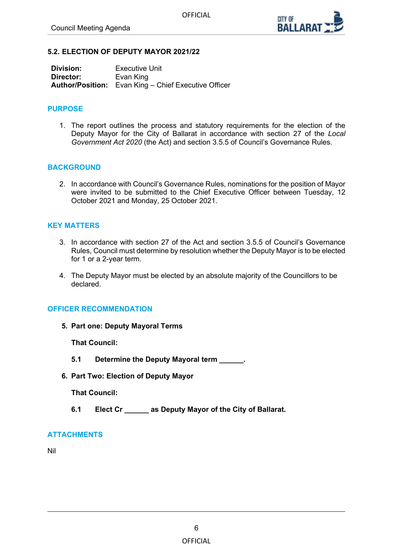

#### <span id="page-5-0"></span>**5.2. ELECTION OF DEPUTY MAYOR 2021/22**

| Division: | <b>Executive Unit</b>                                       |
|-----------|-------------------------------------------------------------|
| Director: | Evan King                                                   |
|           | <b>Author/Position:</b> Evan King – Chief Executive Officer |

## **PURPOSE**

1. The report outlines the process and statutory requirements for the election of the Deputy Mayor for the City of Ballarat in accordance with section 27 of the *Local Government Act 2020* (the Act) and section 3.5.5 of Council's Governance Rules.

## **BACKGROUND**

2. In accordance with Council's Governance Rules, nominations for the position of Mayor were invited to be submitted to the Chief Executive Officer between Tuesday, 12 October 2021 and Monday, 25 October 2021.

#### **KEY MATTERS**

- 3. In accordance with section 27 of the Act and section 3.5.5 of Council's Governance Rules, Council must determine by resolution whether the Deputy Mayor is to be elected for 1 or a 2-year term.
- 4. The Deputy Mayor must be elected by an absolute majority of the Councillors to be declared.

## **OFFICER RECOMMENDATION**

**5. Part one: Deputy Mayoral Terms**

**That Council:**

- **5.1 Determine the Deputy Mayoral term \_\_\_\_\_\_.**
- **6. Part Two: Election of Deputy Mayor**

**That Council:** 

**6.1 Elect Cr \_\_\_\_\_\_ as Deputy Mayor of the City of Ballarat.**

## **ATTACHMENTS**

Nil